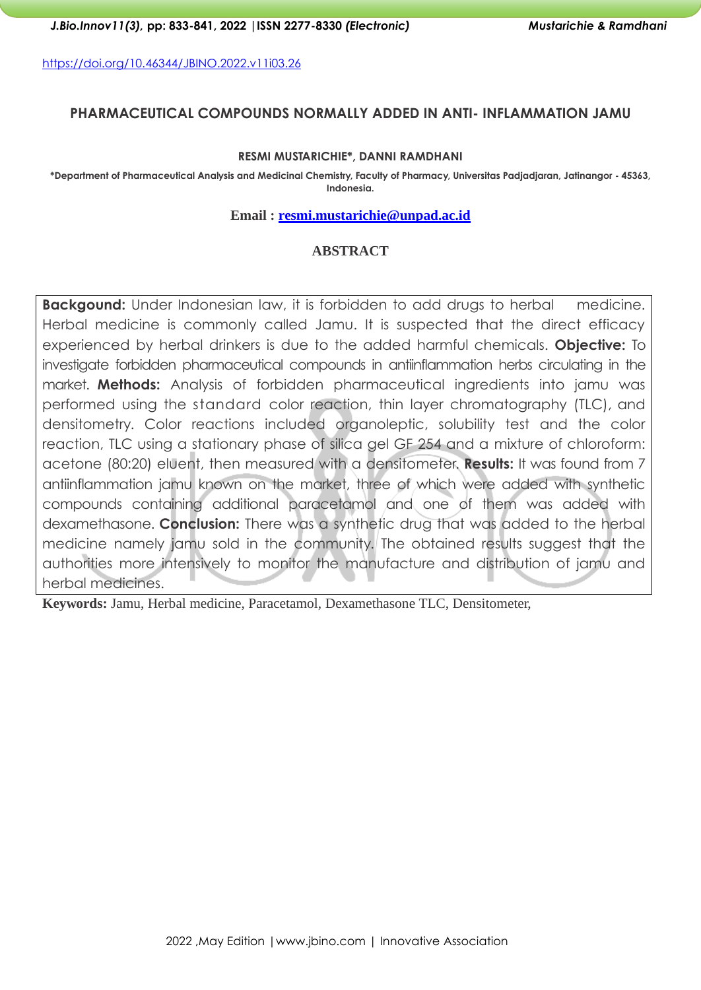<https://doi.org/10.46344/JBINO.2022.v11i03.26>

#### **PHARMACEUTICAL COMPOUNDS NORMALLY ADDED IN ANTI- INFLAMMATION JAMU**

#### **RESMI MUSTARICHIE\*, DANNI RAMDHANI**

**\*Department of Pharmaceutical Analysis and Medicinal Chemistry, Faculty of Pharmacy, Universitas Padjadjaran, Jatinangor - 4536[3,](mailto:rmustarichie@yahoo.com) [Indonesia.](mailto:rmustarichie@yahoo.com)** 

#### **Email : [resmi.mustarichie@unpad.ac.id](mailto:resmi.mustarichie@unpad.ac.id)**

#### **ABSTRACT**

**Backgound:** Under Indonesian law, it is forbidden to add drugs to herbal medicine. Herbal medicine is commonly called Jamu. It is suspected that the direct efficacy experienced by herbal drinkers is due to the added harmful chemicals. **Objective:** To investigate forbidden pharmaceutical compounds in antiinflammation herbs circulating in the market. **Methods:** Analysis of forbidden pharmaceutical ingredients into jamu was performed using the standard color reaction, thin layer chromatography (TLC), and densitometry. Color reactions included organoleptic, solubility test and the color reaction, TLC using a stationary phase of silica gel GF 254 and a mixture of chloroform: acetone (80:20) eluent, then measured with a densitometer. **Results:** It was found from 7 antiinflammation jamu known on the market, three of which were added with synthetic compounds containing additional paracetamol and one of them was added with dexamethasone. **Conclusion:** There was a synthetic drug that was added to the herbal medicine namely jamu sold in the community. The obtained results suggest that the authorities more intensively to monitor the manufacture and distribution of jamu and herbal medicines.

**Keywords:** Jamu, Herbal medicine, Paracetamol, Dexamethasone TLC, Densitometer,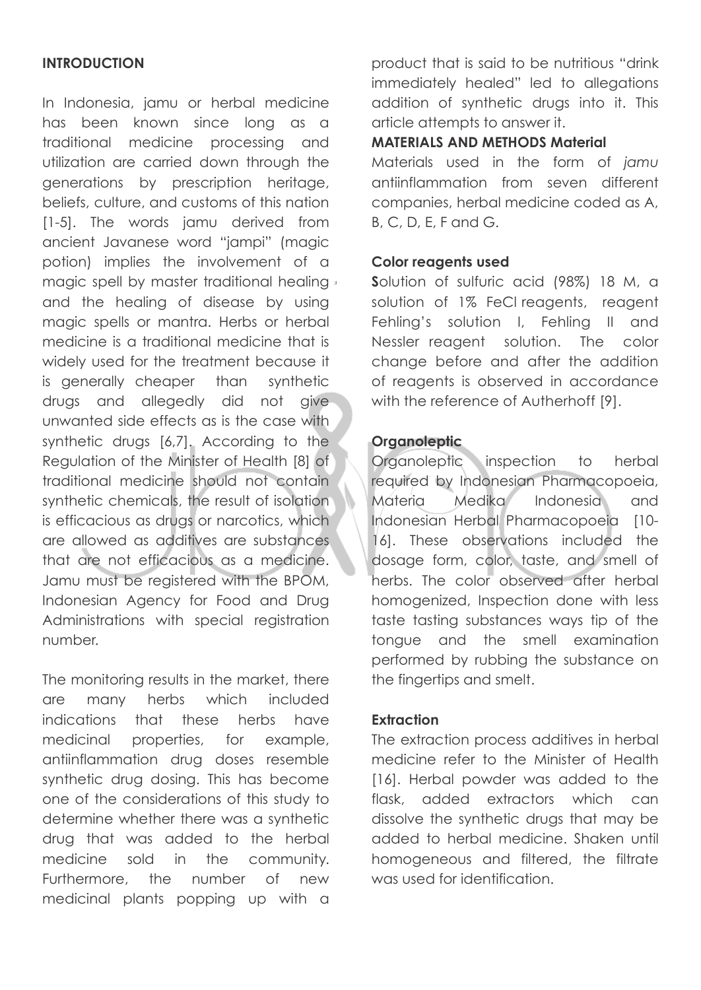### **INTRODUCTION**

magic spell by master traditional healing : In Indonesia, jamu or herbal medicine has been known since long as a traditional medicine processing and utilization are carried down through the generations by prescription heritage, beliefs, culture, and customs of this nation [1-5]. The words jamu derived from ancient Javanese word "jampi" (magic potion) implies the involvement of a and the healing of disease by using magic spells or mantra. Herbs or herbal medicine is a traditional medicine that is widely used for the treatment because it is generally cheaper than synthetic drugs and allegedly did not give unwanted side effects as is the case with synthetic drugs [6,7]. According to the Regulation of the Minister of Health [8] of traditional medicine should not contain synthetic chemicals, the result of isolation is efficacious as drugs or narcotics, which are allowed as additives are substances that are not efficacious as a medicine. Jamu must be registered with the BPOM, Indonesian Agency for Food and Drug Administrations with special registration number.

The monitoring results in the market, there are many herbs which included indications that these herbs have medicinal properties, for example, antiinflammation drug doses resemble synthetic drug dosing. This has become one of the considerations of this study to determine whether there was a synthetic drug that was added to the herbal medicine sold in the community. Furthermore, the number of new medicinal plants popping up with a

product that is said to be nutritious "drink immediately healed" led to allegations addition of synthetic drugs into it. This article attempts to answer it.

# **MATERIALS AND METHODS Material**

Materials used in the form of *jamu*  antiinflammation from seven different companies, herbal medicine coded as A, B, C, D, E, F and G.

### **Color reagents used**

**S**olution of sulfuric acid (98%) 18 M, a solution of 1% FeCI reagents, reagent Fehling's solution I, Fehling II and Nessler reagent solution. The color change before and after the addition of reagents is observed in accordance with the reference of Autherhoff [9].

# **Organoleptic**

Organoleptic inspection to herbal required by Indonesian Pharmacopoeia, Materia Medika Indonesia and Indonesian Herbal Pharmacopoeia [10- 16]. These observations included the dosage form, color, taste, and smell of herbs. The color observed after herbal homogenized, Inspection done with less taste tasting substances ways tip of the tongue and the smell examination performed by rubbing the substance on the fingertips and smelt.

### **Extraction**

The extraction process additives in herbal medicine refer to the Minister of Health [16]. Herbal powder was added to the flask, added extractors which can dissolve the synthetic drugs that may be added to herbal medicine. Shaken until homogeneous and filtered, the filtrate was used for identification.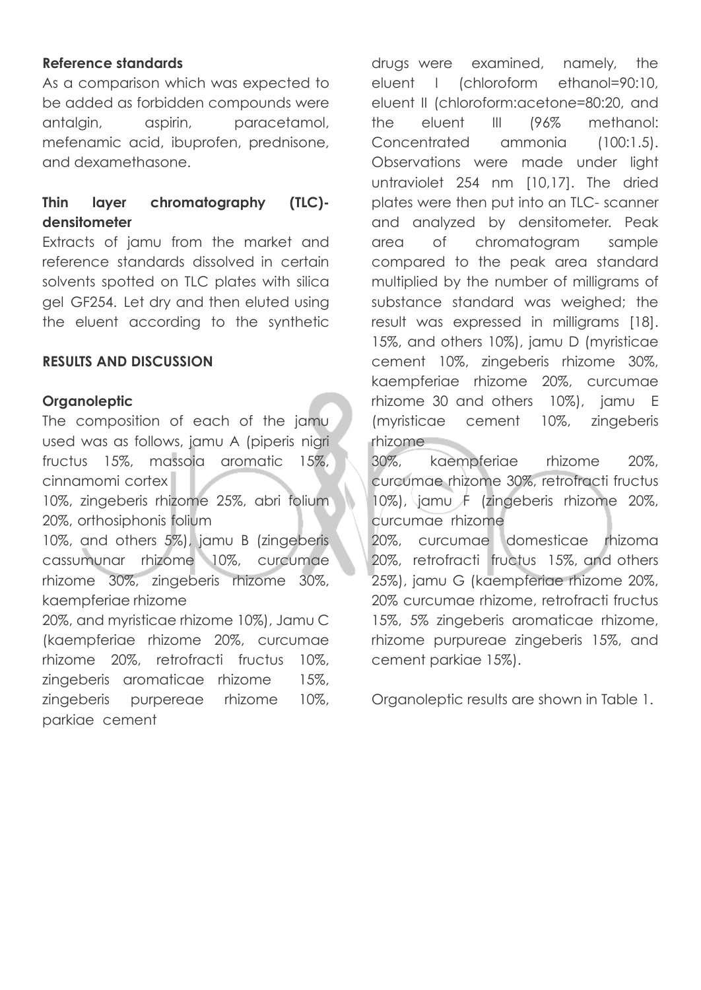### **Reference standards**

As a comparison which was expected to be added as forbidden compounds were antalgin, aspirin, paracetamol, mefenamic acid, ibuprofen, prednisone, and dexamethasone.

# **Thin layer chromatography (TLC) densitometer**

Extracts of jamu from the market and reference standards dissolved in certain solvents spotted on TLC plates with silica gel GF254. Let dry and then eluted using the eluent according to the synthetic

### **RESULTS AND DISCUSSION**

### **Organoleptic**

The composition of each of the jamu used was as follows, jamu A (piperis nigri fructus 15%, massoia aromatic 15%, cinnamomi cortex 10%, zingeberis rhizome 25%, abri folium 20%, orthosiphonis folium 10%, and others 5%), jamu B (zingeberis cassumunar rhizome 10%, curcumae rhizome 30%, zingeberis rhizome 30%, kaempferiae rhizome 20%, and myristicae rhizome 10%), Jamu C (kaempferiae rhizome 20%, curcumae rhizome 20%, retrofracti fructus 10%,

zingeberis aromaticae rhizome 15%, zingeberis purpereae rhizome 10%, parkiae cement

drugs were examined, namely, the eluent I (chloroform ethanol=90:10, eluent II (chloroform:acetone=80:20, and the eluent III (96% methanol: Concentrated ammonia (100:1.5). Observations were made under light untraviolet 254 nm [10,17]. The dried plates were then put into an TLC- scanner and analyzed by densitometer. Peak area of chromatogram sample compared to the peak area standard multiplied by the number of milligrams of substance standard was weighed; the result was expressed in milligrams [18]. 15%, and others 10%), jamu D (myristicae cement 10%, zingeberis rhizome 30%, kaempferiae rhizome 20%, curcumae rhizome 30 and others 10%), jamu E (myristicae cement 10%, zingeberis rhizome

30%, kaempferiae rhizome 20%, curcumae rhizome 30%, retrofracti fructus 10%), jamu F (zingeberis rhizome 20%, curcumae rhizome

20%, curcumae domesticae rhizoma 20%, retrofracti fructus 15%, and others 25%), jamu G (kaempferiae rhizome 20%, 20% curcumae rhizome, retrofracti fructus 15%, 5% zingeberis aromaticae rhizome, rhizome purpureae zingeberis 15%, and cement parkiae 15%).

Organoleptic results are shown in Table 1.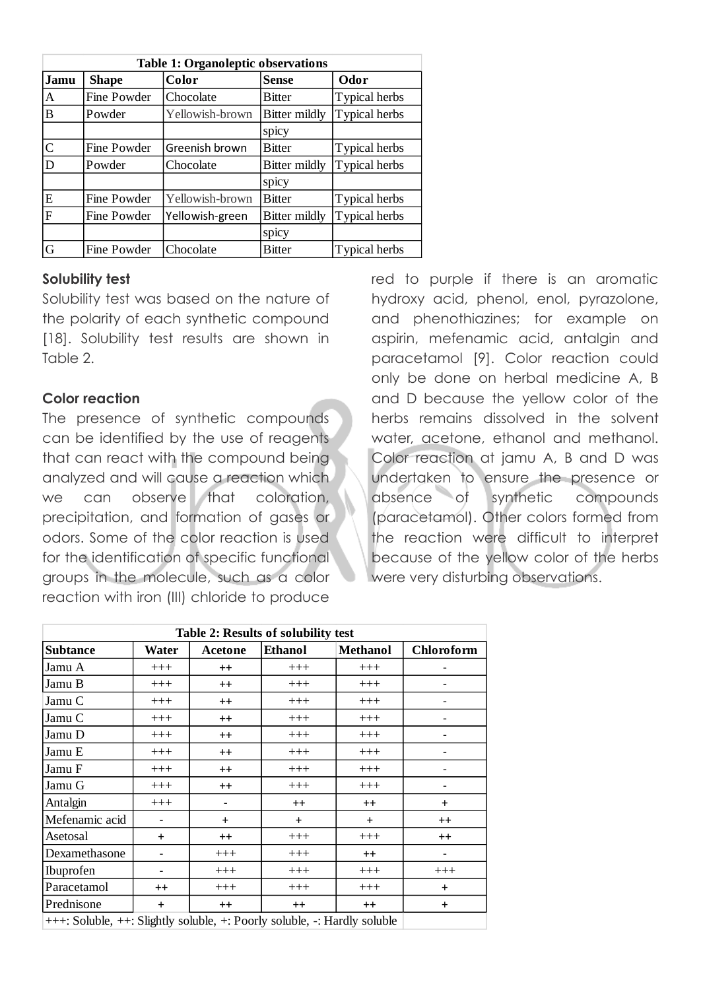| <b>Table 1: Organoleptic observations</b> |              |                 |                      |               |  |  |  |  |
|-------------------------------------------|--------------|-----------------|----------------------|---------------|--|--|--|--|
| Jamu                                      | <b>Shape</b> | Color           | <b>Sense</b>         | Odor          |  |  |  |  |
| A                                         | Fine Powder  | Chocolate       | <b>Bitter</b>        | Typical herbs |  |  |  |  |
| B                                         | Powder       | Yellowish-brown | <b>Bitter mildly</b> | Typical herbs |  |  |  |  |
|                                           |              |                 | spicy                |               |  |  |  |  |
| $\mathcal{C}$                             | Fine Powder  | Greenish brown  | <b>Bitter</b>        | Typical herbs |  |  |  |  |
| D                                         | Powder       | Chocolate       | <b>Bitter mildly</b> | Typical herbs |  |  |  |  |
|                                           |              |                 | spicy                |               |  |  |  |  |
| E                                         | Fine Powder  | Yellowish-brown | <b>Bitter</b>        | Typical herbs |  |  |  |  |
| F                                         | Fine Powder  | Yellowish-green | <b>Bitter mildly</b> | Typical herbs |  |  |  |  |
|                                           |              |                 | spicy                |               |  |  |  |  |
| G                                         | Fine Powder  | Chocolate       | <b>Bitter</b>        | Typical herbs |  |  |  |  |

#### **Solubility test**

Solubility test was based on the nature of the polarity of each synthetic compound [18]. Solubility test results are shown in Table 2.

#### **Color reaction**

The presence of synthetic compounds can be identified by the use of reagents that can react with the compound being analyzed and will cause a reaction which we can observe that coloration, precipitation, and formation of gases or odors. Some of the color reaction is used for the identification of specific functional groups in the molecule, such as a color reaction with iron (III) chloride to produce

red to purple if there is an aromatic hydroxy acid, phenol, enol, pyrazolone, and phenothiazines; for example on aspirin, mefenamic acid, antalgin and paracetamol [9]. Color reaction could only be done on herbal medicine A, B and D because the yellow color of the herbs remains dissolved in the solvent water, acetone, ethanol and methanol. Color reaction at jamu A, B and D was undertaken to ensure the presence or absence of synthetic compounds (paracetamol). Other colors formed from the reaction were difficult to interpret because of the yellow color of the herbs were very disturbing observations.

| Table 2: Results of solubility test                                      |                              |                          |                |                 |            |  |  |
|--------------------------------------------------------------------------|------------------------------|--------------------------|----------------|-----------------|------------|--|--|
| <b>Subtance</b>                                                          | Water                        | Acetone                  | <b>Ethanol</b> | <b>Methanol</b> | Chloroform |  |  |
| Jamu A                                                                   | $+++$                        | $++$                     | $+++$          | $+++$           |            |  |  |
| Jamu B                                                                   | $+++$                        | $++$                     | $+++$          | $+++$           |            |  |  |
| Jamu C                                                                   | $+++$                        | $++$                     | $+++$          | $+++$           |            |  |  |
| Jamu C                                                                   | $+++$                        | $++$                     | $+++$          | $+++$           |            |  |  |
| Jamu D                                                                   | $+++$                        | $++$                     | $+++$          | $+++$           |            |  |  |
| Jamu E                                                                   | $+++$                        | $^{++}$                  | $+++$          | $+++$           |            |  |  |
| Jamu F                                                                   | $+++$                        | $++$                     | $+++$          | $+++$           |            |  |  |
| Jamu G                                                                   | $+++$                        | $++$                     | $+++$          | $+++$           |            |  |  |
| Antalgin                                                                 | $+++$                        | $\overline{\phantom{0}}$ | $++$           | $++$            | $\ddot{}$  |  |  |
| Mefenamic acid                                                           | $\qquad \qquad \blacksquare$ | $\ddot{}$                | $+$            | $+$             | $++$       |  |  |
| Asetosal                                                                 | $\ddot{}$                    | $++$                     | $+++$          | $+++$           | $++$       |  |  |
| Dexamethasone                                                            |                              | $+++$                    | $+++$          | $++$            |            |  |  |
| Ibuprofen                                                                |                              | $+++$                    | $+++$          | $+++$           | $+++$      |  |  |
| Paracetamol                                                              | $^{++}$                      | $+++$                    | $+++$          | $+++$           | $\ddot{}$  |  |  |
| Prednisone                                                               | $\ddot{}$                    | $++$                     | $++$           | $++$            | $\ddot{}$  |  |  |
| +++: Soluble, ++: Slightly soluble, +: Poorly soluble, -: Hardly soluble |                              |                          |                |                 |            |  |  |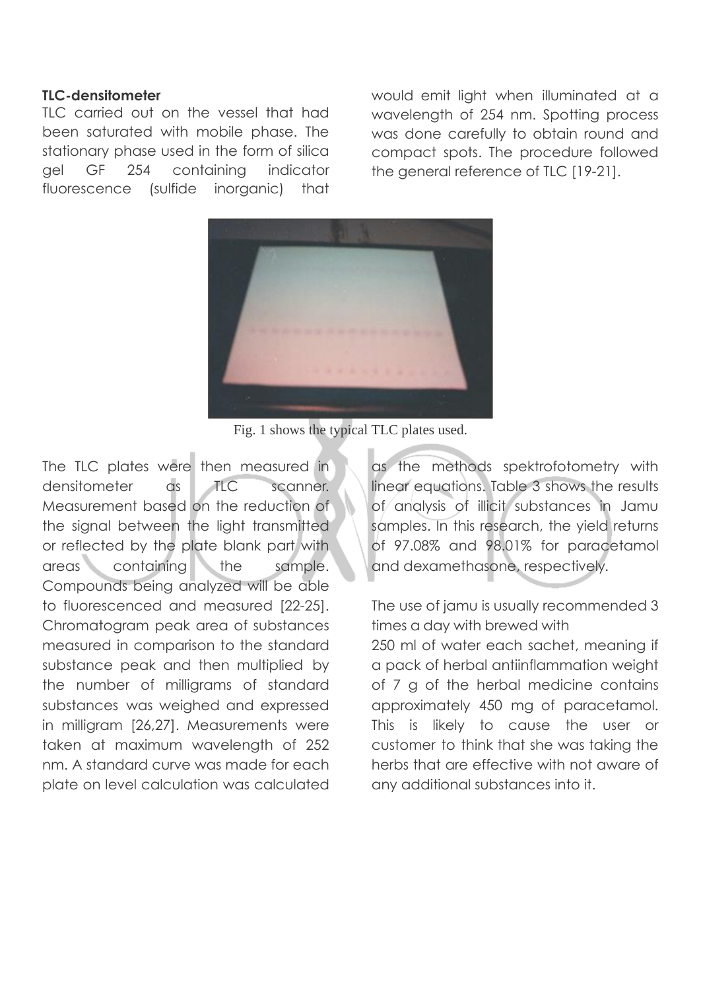#### **TLC-densitometer**

TLC carried out on the vessel that had been saturated with mobile phase. The stationary phase used in the form of silica gel GF 254 containing indicator fluorescence (sulfide inorganic) that would emit light when illuminated at a wavelength of 254 nm. Spotting process was done carefully to obtain round and compact spots. The procedure followed the general reference of TLC [19-21].



Fig. 1 shows the typical TLC plates used.

The TLC plates were then measured in densitometer as TLC scanner. Measurement based on the reduction of the signal between the light transmitted or reflected by the plate blank part with areas containing the sample. Compounds being analyzed will be able to fluorescenced and measured [22-25]. Chromatogram peak area of substances measured in comparison to the standard substance peak and then multiplied by the number of milligrams of standard substances was weighed and expressed in milligram [26,27]. Measurements were taken at maximum wavelength of 252 nm. A standard curve was made for each plate on level calculation was calculated

as the methods spektrofotometry with linear equations. Table 3 shows the results of analysis of illicit substances in Jamu samples. In this research, the yield returns of 97.08% and 98.01% for paracetamol and dexamethasone, respectively.

The use of jamu is usually recommended 3 times a day with brewed with 250 ml of water each sachet, meaning if a pack of herbal antiinflammation weight of 7 g of the herbal medicine contains approximately 450 mg of paracetamol. This is likely to cause the user or customer to think that she was taking the herbs that are effective with not aware of any additional substances into it.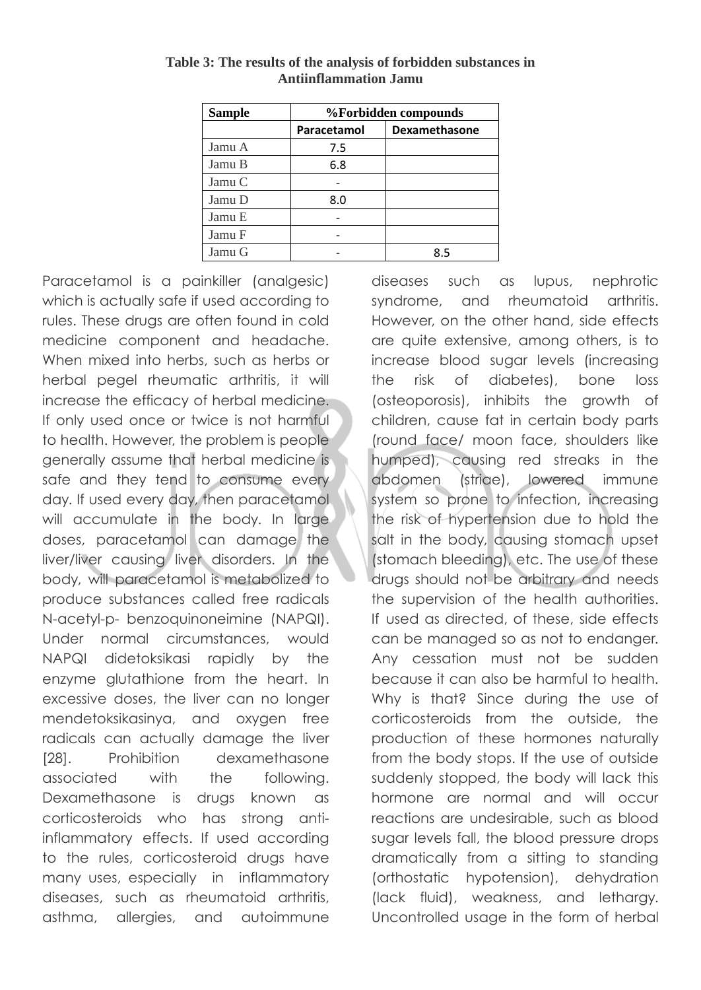| <b>Sample</b> | %Forbidden compounds |               |  |
|---------------|----------------------|---------------|--|
|               | Paracetamol          | Dexamethasone |  |
| Jamu A        | 7.5                  |               |  |
| Jamu B        | 6.8                  |               |  |
| Jamu C        |                      |               |  |
| Jamu D        | 8.0                  |               |  |
| Jamu E        |                      |               |  |
| Jamu F        |                      |               |  |
| Jamu G        |                      | 8.5           |  |

#### **Table 3: The results of the analysis of forbidden substances in Antiinflammation Jamu**

Paracetamol is a painkiller (analgesic) which is actually safe if used according to rules. These drugs are often found in cold medicine component and headache. When mixed into herbs, such as herbs or herbal pegel rheumatic arthritis, it will increase the efficacy of herbal medicine. If only used once or twice is not harmful to health. However, the problem is people generally assume that herbal medicine is safe and they tend to consume every day. If used every day, then paracetamol will accumulate in the body. In large doses, paracetamol can damage the liver/liver causing liver disorders. In the body, will paracetamol is metabolized to produce substances called free radicals N-acetyl-p- benzoquinoneimine (NAPQI). Under normal circumstances, would NAPQI didetoksikasi rapidly by the enzyme glutathione from the heart. In excessive doses, the liver can no longer mendetoksikasinya, and oxygen free radicals can actually damage the liver [28]. Prohibition dexamethasone associated with the following. Dexamethasone is drugs known as corticosteroids who has strong antiinflammatory effects. If used according to the rules, corticosteroid drugs have many uses, especially in inflammatory diseases, such as rheumatoid arthritis, asthma, allergies, and autoimmune

diseases such as lupus, nephrotic syndrome, and rheumatoid arthritis. However, on the other hand, side effects are quite extensive, among others, is to increase blood sugar levels (increasing the risk of diabetes), bone loss (osteoporosis), inhibits the growth of children, cause fat in certain body parts (round face/ moon face, shoulders like humped), causing red streaks in the abdomen (striae), lowered immune system so prone to infection, increasing the risk of hypertension due to hold the salt in the body, causing stomach upset (stomach bleeding), etc. The use of these drugs should not be arbitrary and needs the supervision of the health authorities. If used as directed, of these, side effects can be managed so as not to endanger. Any cessation must not be sudden because it can also be harmful to health. Why is that? Since during the use of corticosteroids from the outside, the production of these hormones naturally from the body stops. If the use of outside suddenly stopped, the body will lack this hormone are normal and will occur reactions are undesirable, such as blood sugar levels fall, the blood pressure drops dramatically from a sitting to standing (orthostatic hypotension), dehydration (lack fluid), weakness, and lethargy. Uncontrolled usage in the form of herbal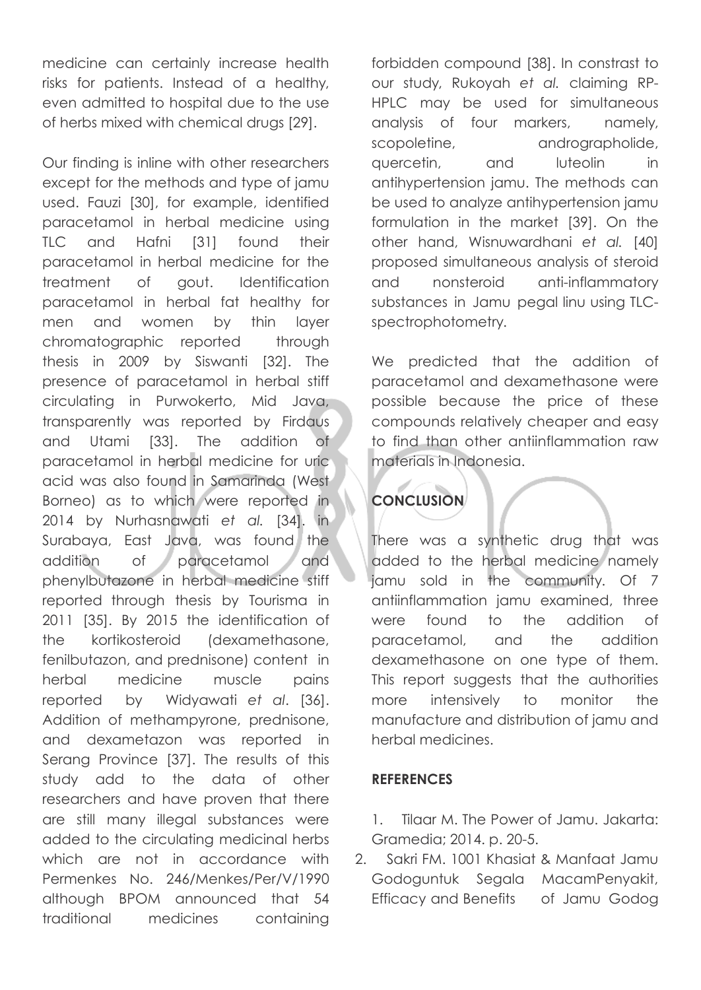medicine can certainly increase health risks for patients. Instead of a healthy, even admitted to hospital due to the use of herbs mixed with chemical drugs [29].

Our finding is inline with other researchers except for the methods and type of jamu used. Fauzi [30], for example, identified paracetamol in herbal medicine using TLC and Hafni [31] found their paracetamol in herbal medicine for the treatment of gout. Identification paracetamol in herbal fat healthy for men and women by thin layer chromatographic reported through thesis in 2009 by Siswanti [32]. The presence of paracetamol in herbal stiff circulating in Purwokerto, Mid Java, transparently was reported by Firdaus and Utami [33]. The addition of paracetamol in herbal medicine for uric acid was also found in Samarinda (West Borneo) as to which were reported in 2014 by Nurhasnawati *et al.* [34]. in Surabaya, East Java, was found the addition of paracetamol and phenylbutazone in herbal medicine stiff reported through thesis by Tourisma in 2011 [35]. By 2015 the identification of the kortikosteroid (dexamethasone, fenilbutazon, and prednisone) content in herbal medicine muscle pains reported by Widyawati *et al*. [36]. Addition of methampyrone, prednisone, and dexametazon was reported in Serang Province [37]. The results of this study add to the data of other researchers and have proven that there are still many illegal substances were added to the circulating medicinal herbs which are not in accordance with Permenkes No. 246/Menkes/Per/V/1990 although BPOM announced that 54 traditional medicines containing

forbidden compound [38]. In constrast to our study, Rukoyah *et al.* claiming RP-HPLC may be used for simultaneous analysis of four markers, namely, scopoletine, andrographolide, quercetin, and luteolin in antihypertension jamu. The methods can be used to analyze antihypertension jamu formulation in the market [39]. On the other hand, Wisnuwardhani *et al.* [40] proposed simultaneous analysis of steroid and nonsteroid anti-inflammatory substances in Jamu pegal linu using TLCspectrophotometry.

We predicted that the addition of paracetamol and dexamethasone were possible because the price of these compounds relatively cheaper and easy to find than other antiinflammation raw materials in Indonesia.

# **CONCLUSION**

There was a synthetic drug that was added to the herbal medicine namely jamu sold in the community. Of 7 antiinflammation jamu examined, three were found to the addition of paracetamol, and the addition dexamethasone on one type of them. This report suggests that the authorities more intensively to monitor the manufacture and distribution of jamu and herbal medicines.

# **REFERENCES**

1. Tilaar M. The Power of Jamu. Jakarta: Gramedia; 2014. p. 20-5.

2. Sakri FM. 1001 Khasiat & Manfaat Jamu Godoguntuk Segala MacamPenyakit, Efficacy and Benefits of Jamu Godog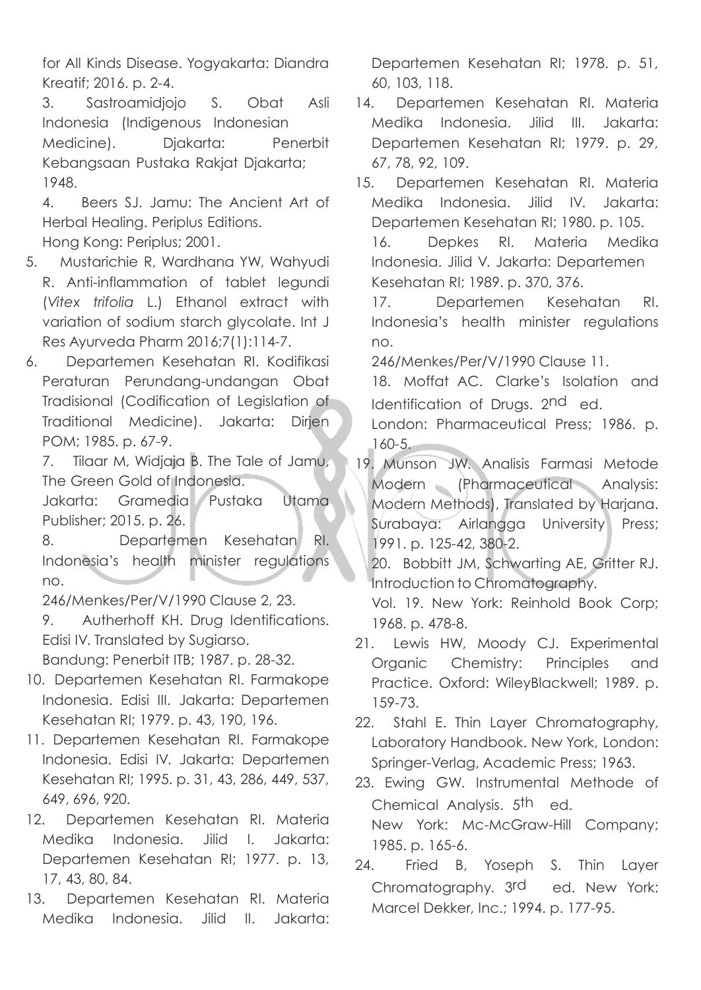for All Kinds Disease. Yogyakarta: Diandra Kreatif; 2016. p. 2-4.

3. Sastroamidjojo S. Obat Asli Indonesia (Indigenous Indonesian Medicine). Djakarta: Penerbit Kebangsaan Pustaka Rakjat Djakarta; 1948.

4. Beers SJ. Jamu: The Ancient Art of Herbal Healing. Periplus Editions. Hong Kong: Periplus; 2001.

- 5. Mustarichie R, Wardhana YW, Wahyudi R. Anti-inflammation of tablet legundi (*Vitex trifolia* L.) Ethanol extract with variation of sodium starch glycolate. Int J Res Ayurveda Pharm 2016;7(1):114-7.
- 6. Departemen Kesehatan RI. Kodifikasi Peraturan Perundang-undangan Obat Tradisional (Codification of Legislation of Traditional Medicine). Jakarta: Dirjen POM; 1985. p. 67-9.
	- 7. Tilaar M, Widjaja B. The Tale of Jamu, The Green Gold of Indonesia.

Jakarta: Gramedia Pustaka Utama Publisher; 2015. p. 26.

8. Departemen Kesehatan RI. Indonesia's health minister regulations no.

246/Menkes/Per/V/1990 Clause 2, 23.

9. Autherhoff KH. Drug Identifications. Edisi IV. Translated by Sugiarso.

Bandung: Penerbit ITB; 1987. p. 28-32.

- 10. Departemen Kesehatan RI. Farmakope Indonesia. Edisi III. Jakarta: Departemen Kesehatan RI; 1979. p. 43, 190, 196.
- 11. Departemen Kesehatan RI. Farmakope Indonesia. Edisi IV. Jakarta: Departemen Kesehatan RI; 1995. p. 31, 43, 286, 449, 537, 649, 696, 920.
- 12. Departemen Kesehatan RI. Materia Medika Indonesia. Jilid I. Jakarta: Departemen Kesehatan RI; 1977. p. 13, 17, 43, 80, 84.
- 13. Departemen Kesehatan RI. Materia Medika Indonesia. Jilid II. Jakarta:

Departemen Kesehatan RI; 1978. p. 51, 60, 103, 118.

14. Departemen Kesehatan RI. Materia Medika Indonesia. Jilid III. Jakarta: Departemen Kesehatan RI; 1979. p. 29, 67, 78, 92, 109.

15. Departemen Kesehatan RI. Materia Medika Indonesia. Jilid IV. Jakarta: Departemen Kesehatan RI; 1980. p. 105. 16. Depkes RI. Materia Medika Indonesia. Jilid V. Jakarta: Departemen Kesehatan RI; 1989. p. 370, 376.

17. Departemen Kesehatan RI. Indonesia's health minister regulations no.

246/Menkes/Per/V/1990 Clause 11.

18. Moffat AC. Clarke's Isolation and Identification of Drugs. 2<sup>nd</sup> ed.

London: Pharmaceutical Press; 1986. p. 160-5.

19. Munson JW. Analisis Farmasi Metode Modern (Pharmaceutical Analysis: Modern Methods), Translated by Harjana. Surabaya: Airlangga University Press; 1991. p. 125-42, 380-2.

20. Bobbitt JM, Schwarting AE, Gritter RJ. Introduction to Chromatography.

Vol. 19. New York: Reinhold Book Corp; 1968. p. 478-8.

21. Lewis HW, Moody CJ. Experimental Organic Chemistry: Principles and Practice. Oxford: WileyBlackwell; 1989. p. 159-73.

22. Stahl E. Thin Layer Chromatography, Laboratory Handbook. New York, London: Springer-Verlag, Academic Press; 1963.

23. Ewing GW. Instrumental Methode of Chemical Analysis. 5th ed. New York: Mc-McGraw-Hill Company; 1985. p. 165-6.

24. Fried B, Yoseph S. Thin Layer Chromatography. 3rd ed. New York: Marcel Dekker, Inc.; 1994. p. 177-95.